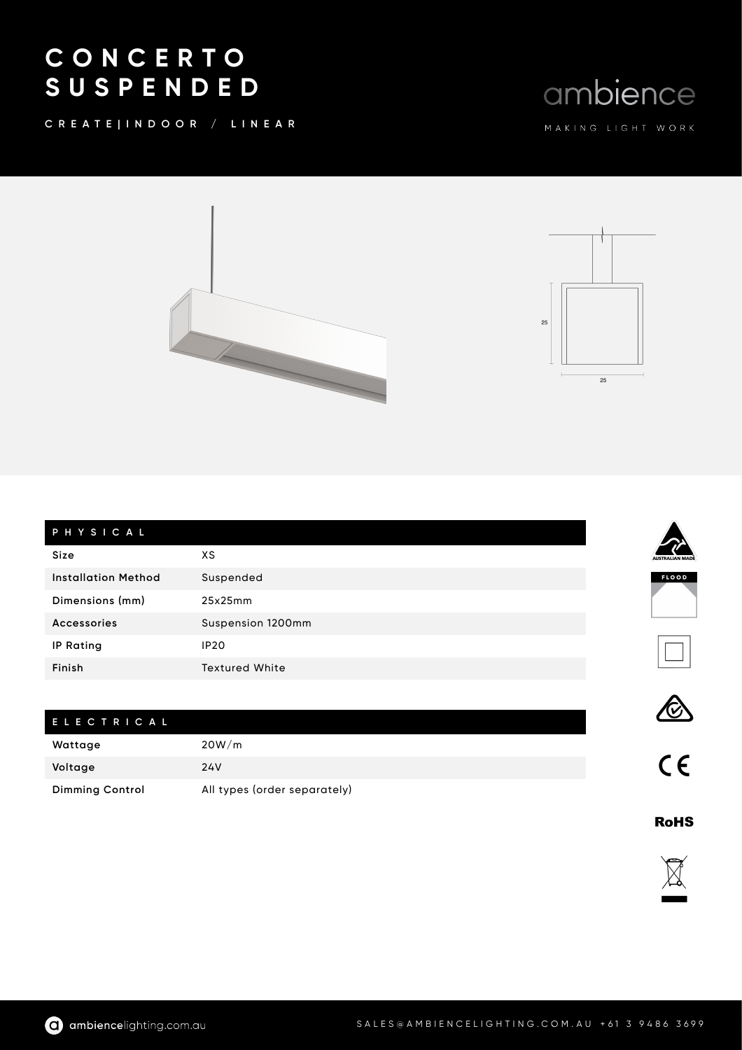## C O N C E R T O S U S P E N D E D

C R E A T E | I N D O O R / L I N E A R

## ambience





| PHYSICAL                   |                       |
|----------------------------|-----------------------|
| <b>Size</b>                | хs                    |
| <b>Installation Method</b> | Suspended             |
| Dimensions (mm)            | 25x25mm               |
| <b>Accessories</b>         | Suspension 1200mm     |
| <b>IP Rating</b>           | IP <sub>20</sub>      |
| Finish                     | <b>Textured White</b> |

## E L E C T R I C A L

| Wattage                | 20W/m                        |
|------------------------|------------------------------|
| Voltage                | 24V                          |
| <b>Dimming Control</b> | All types (order separately) |



 $C<sub>1</sub>$ 

E

FLOOD